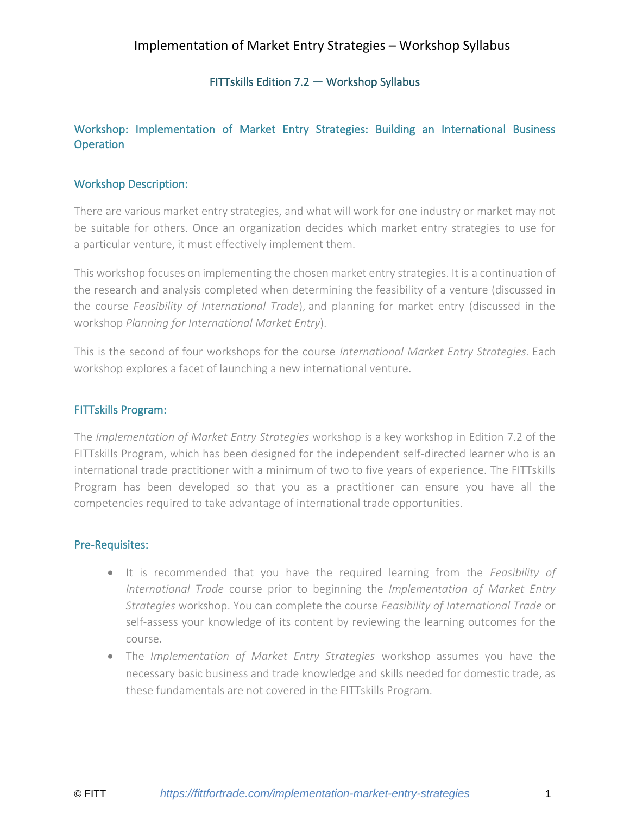# FITTskills Edition 7.2 — Workshop Syllabus

## Workshop: Implementation of Market Entry Strategies: Building an International Business **Operation**

## Workshop Description:

There are various market entry strategies, and what will work for one industry or market may not be suitable for others. Once an organization decides which market entry strategies to use for a particular venture, it must effectively implement them.

This workshop focuses on implementing the chosen market entry strategies. It is a continuation of the research and analysis completed when determining the feasibility of a venture (discussed in the course *Feasibility of International Trade*), and planning for market entry (discussed in the workshop *Planning for International Market Entry*).

This is the second of four workshops for the course *International Market Entry Strategies*. Each workshop explores a facet of launching a new international venture.

## FITTskills Program:

The *Implementation of Market Entry Strategies* workshop is a key workshop in Edition 7.2 of the FITTskills Program, which has been designed for the independent self-directed learner who is an international trade practitioner with a minimum of two to five years of experience. The FITTskills Program has been developed so that you as a practitioner can ensure you have all the competencies required to take advantage of international trade opportunities.

## Pre-Requisites:

- It is recommended that you have the required learning from the *Feasibility of International Trade* course prior to beginning the *Implementation of Market Entry Strategies* workshop. You can complete the course *Feasibility of International Trade* or self-assess your knowledge of its content by reviewing the learning outcomes for the course.
- The *Implementation of Market Entry Strategies* workshop assumes you have the necessary basic business and trade knowledge and skills needed for domestic trade, as these fundamentals are not covered in the FITTskills Program.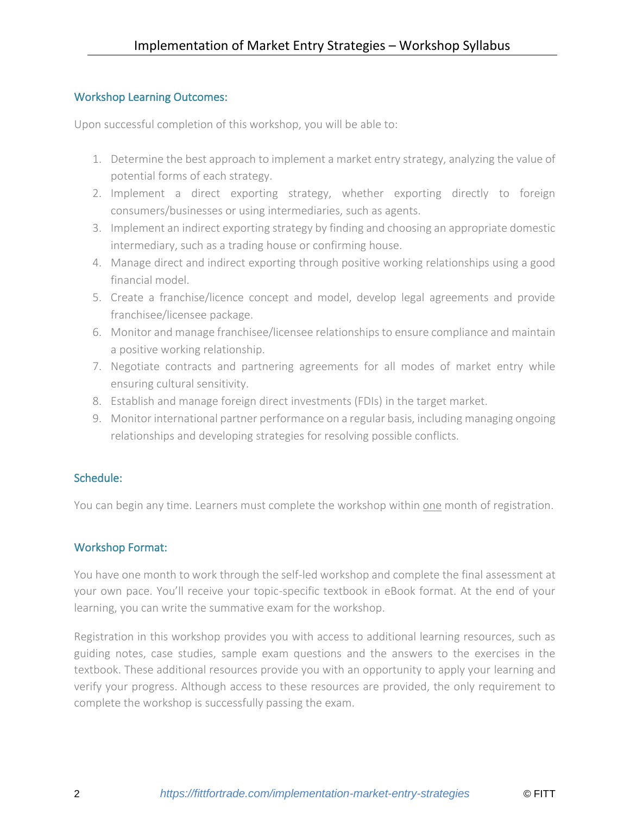## Workshop Learning Outcomes:

Upon successful completion of this workshop, you will be able to:

- 1. Determine the best approach to implement a market entry strategy, analyzing the value of potential forms of each strategy.
- 2. Implement a direct exporting strategy, whether exporting directly to foreign consumers/businesses or using intermediaries, such as agents.
- 3. Implement an indirect exporting strategy by finding and choosing an appropriate domestic intermediary, such as a trading house or confirming house.
- 4. Manage direct and indirect exporting through positive working relationships using a good financial model.
- 5. Create a franchise/licence concept and model, develop legal agreements and provide franchisee/licensee package.
- 6. Monitor and manage franchisee/licensee relationships to ensure compliance and maintain a positive working relationship.
- 7. Negotiate contracts and partnering agreements for all modes of market entry while ensuring cultural sensitivity.
- 8. Establish and manage foreign direct investments (FDIs) in the target market.
- 9. Monitor international partner performance on a regular basis, including managing ongoing relationships and developing strategies for resolving possible conflicts.

# Schedule:

You can begin any time. Learners must complete the workshop within one month of registration.

# Workshop Format:

You have one month to work through the self-led workshop and complete the final assessment at your own pace. You'll receive your topic-specific textbook in eBook format. At the end of your learning, you can write the summative exam for the workshop.

Registration in this workshop provides you with access to additional learning resources, such as guiding notes, case studies, sample exam questions and the answers to the exercises in the textbook. These additional resources provide you with an opportunity to apply your learning and verify your progress. Although access to these resources are provided, the only requirement to complete the workshop is successfully passing the exam.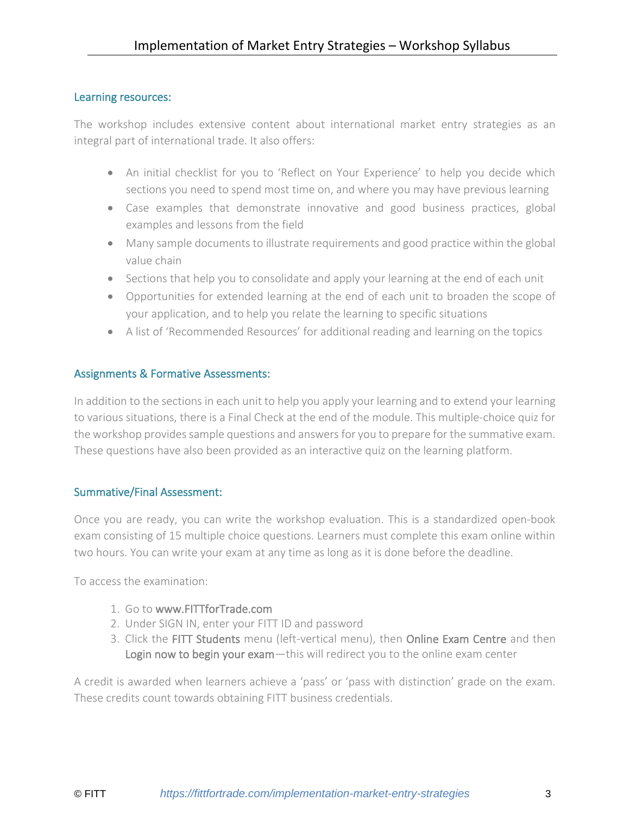## Learning resources:

The workshop includes extensive content about international market entry strategies as an integral part of international trade. It also offers:

- An initial checklist for you to 'Reflect on Your Experience' to help you decide which sections you need to spend most time on, and where you may have previous learning
- Case examples that demonstrate innovative and good business practices, global examples and lessons from the field
- Many sample documents to illustrate requirements and good practice within the global value chain
- Sections that help you to consolidate and apply your learning at the end of each unit
- Opportunities for extended learning at the end of each unit to broaden the scope of your application, and to help you relate the learning to specific situations
- A list of 'Recommended Resources' for additional reading and learning on the topics

## Assignments & Formative Assessments:

In addition to the sections in each unit to help you apply your learning and to extend your learning to various situations, there is a Final Check at the end of the module. This multiple-choice quiz for the workshop provides sample questions and answers for you to prepare for the summative exam. These questions have also been provided as an interactive quiz on the learning platform.

## Summative/Final Assessment:

Once you are ready, you can write the workshop evaluation. This is a standardized open-book exam consisting of 15 multiple choice questions. Learners must complete this exam online within two hours. You can write your exam at any time as long as it is done before the deadline.

To access the examination:

- 1. Go to [www.FITTforTrade.com](http://www.fittfortrade.com/)
- 2. Under SIGN IN, enter your FITT ID and password
- 3. Click the FITT Students menu (left-vertical menu), then Online Exam Centre and then Login now to begin your exam—this will redirect you to the online exam center

A credit is awarded when learners achieve a 'pass' or 'pass with distinction' grade on the exam. These credits count towards obtaining FITT business credentials.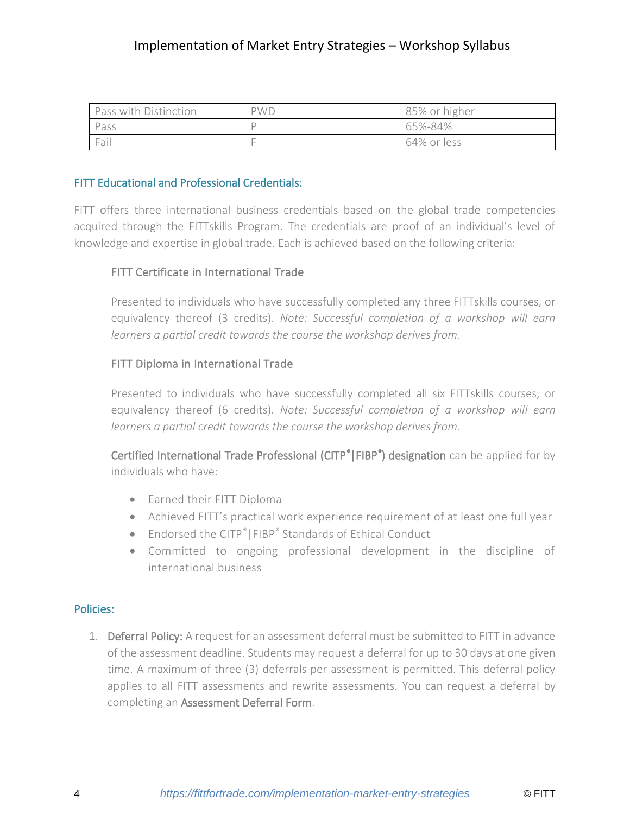| Pass with Distinction | <b>PWD</b> | 85% or higher |
|-----------------------|------------|---------------|
| Pass                  |            | 65%-84%       |
| Fail                  |            | 64% or less   |

## FITT Educational and Professional Credentials:

FITT offers three international business credentials based on the global trade competencies acquired through the FITTskills Program. The credentials are proof of an individual's level of knowledge and expertise in global trade. Each is achieved based on the following criteria:

## FITT Certificate in International Trade

Presented to individuals who have successfully completed any three FITTskills courses, or equivalency thereof (3 credits). *Note: Successful completion of a workshop will earn learners a partial credit towards the course the workshop derives from.*

## FITT Diploma in International Trade

Presented to individuals who have successfully completed all six FITTskills courses, or equivalency thereof (6 credits). *Note: Successful completion of a workshop will earn learners a partial credit towards the course the workshop derives from.*

Certified International Trade Professional (CITP*®*|FIBP*®* ) designation can be applied for by individuals who have:

- Earned their FITT Diploma
- Achieved FITT's practical work experience requirement of at least one full year
- Endorsed the CITP*®*|FIBP*®* Standards of Ethical Conduct
- Committed to ongoing professional development in the discipline of international business

## Policies:

1. Deferral Policy: A request for an assessment deferral must be submitted to FITT in advance of the assessment deadline. Students may request a deferral for up to 30 days at one given time. A maximum of three (3) deferrals per assessment is permitted. This deferral policy applies to all FITT assessments and rewrite assessments. You can request a deferral by completing an [Assessment Deferral Form.](https://fittfortrade.com/assessment-deferral-request)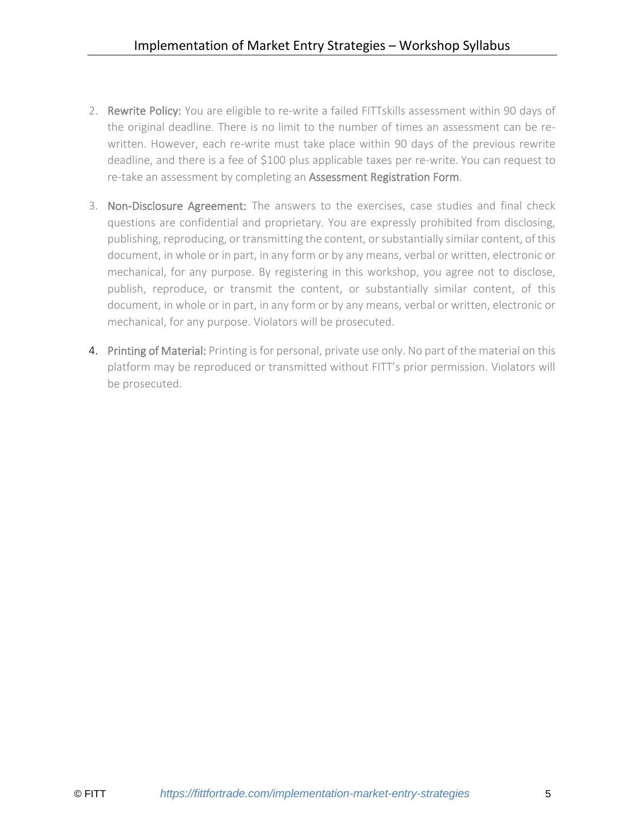- 2. Rewrite Policy: You are eligible to re-write a failed FITTskills assessment within 90 days of the original deadline. There is no limit to the number of times an assessment can be rewritten. However, each re-write must take place within 90 days of the previous rewrite deadline, and there is a fee of \$100 plus applicable taxes per re-write. You can request to re-take an assessment by completing an [Assessment Registration Form.](http://fittfortrade.com/assessment-rewrite-registration)
- 3. Non-Disclosure Agreement: The answers to the exercises, case studies and final check questions are confidential and proprietary. You are expressly prohibited from disclosing, publishing, reproducing, or transmitting the content, or substantially similar content, of this document, in whole or in part, in any form or by any means, verbal or written, electronic or mechanical, for any purpose. By registering in this workshop, you agree not to disclose, publish, reproduce, or transmit the content, or substantially similar content, of this document, in whole or in part, in any form or by any means, verbal or written, electronic or mechanical, for any purpose. Violators will be prosecuted.
- 4. Printing of Material: Printing is for personal, private use only. No part of the material on this platform may be reproduced or transmitted without FITT's prior permission. Violators will be prosecuted.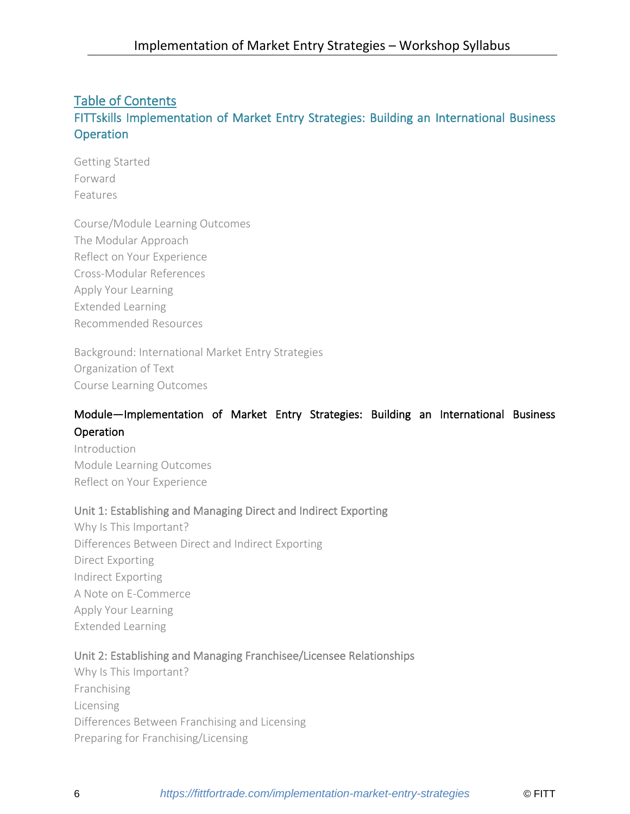# Table of Contents

# FITTskills Implementation of Market Entry Strategies: Building an International Business **Operation**

Getting Started Forward Features

Course/Module Learning Outcomes The Modular Approach Reflect on Your Experience Cross-Modular References Apply Your Learning Extended Learning Recommended Resources

Background: International Market Entry Strategies Organization of Text Course Learning Outcomes

# Module—Implementation of Market Entry Strategies: Building an International Business Operation

Introduction Module Learning Outcomes Reflect on Your Experience

## Unit 1: Establishing and Managing Direct and Indirect Exporting

Why Is This Important? Differences Between Direct and Indirect Exporting Direct Exporting Indirect Exporting A Note on E-Commerce Apply Your Learning Extended Learning

## Unit 2: Establishing and Managing Franchisee/Licensee Relationships

Why Is This Important? Franchising Licensing Differences Between Franchising and Licensing Preparing for Franchising/Licensing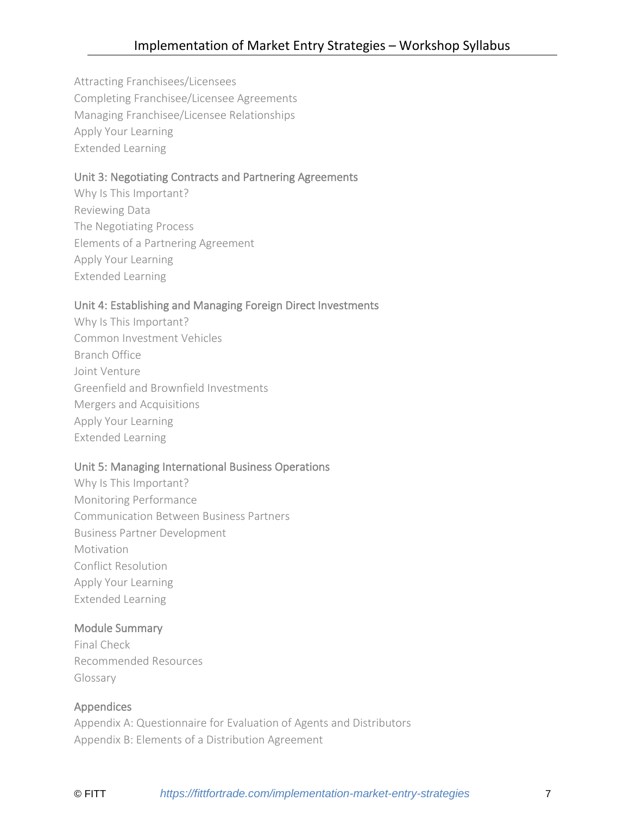Attracting Franchisees/Licensees Completing Franchisee/Licensee Agreements Managing Franchisee/Licensee Relationships Apply Your Learning Extended Learning

# Unit 3: Negotiating Contracts and Partnering Agreements

Why Is This Important? Reviewing Data The Negotiating Process Elements of a Partnering Agreement Apply Your Learning Extended Learning

## Unit 4: Establishing and Managing Foreign Direct Investments

Why Is This Important? Common Investment Vehicles Branch Office Joint Venture Greenfield and Brownfield Investments Mergers and Acquisitions Apply Your Learning Extended Learning

# Unit 5: Managing International Business Operations

Why Is This Important? Monitoring Performance Communication Between Business Partners Business Partner Development Motivation Conflict Resolution Apply Your Learning Extended Learning

## Module Summary

Final Check Recommended Resources Glossary

## Appendices

Appendix A: Questionnaire for Evaluation of Agents and Distributors Appendix B: Elements of a Distribution Agreement